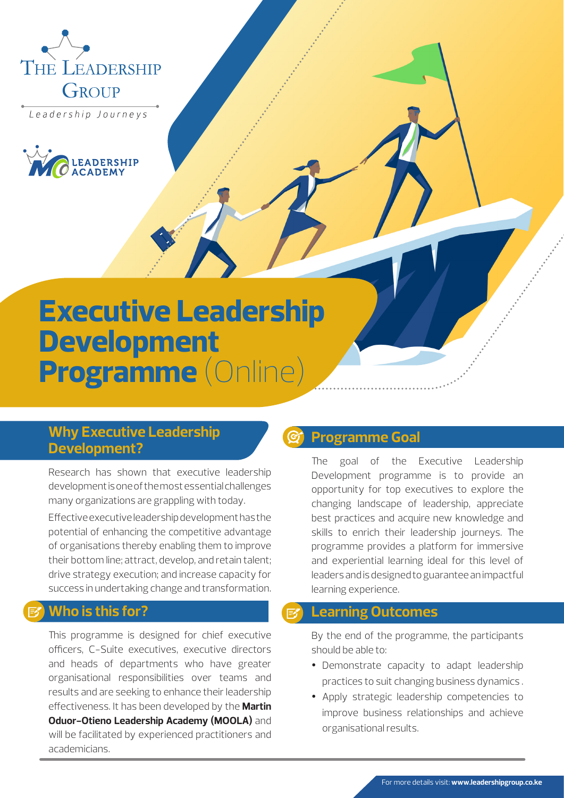

Leadership Journeys



# **Executive Leadership Development Programme** (Online)

# **Why Executive Leadership Development?**

Research has shown that executive leadership development is one of the most essential challenges many organizations are grappling with today.

Effective executive leadership development has the potential of enhancing the competitive advantage of organisations thereby enabling them to improve their bottom line; attract, develop, and retain talent; drive strategy execution; and increase capacity for success in undertaking change and transformation.

## **Who is this for?**

This programme is designed for chief executive officers, C-Suite executives, executive directors and heads of departments who have greater organisational responsibilities over teams and results and are seeking to enhance their leadership effectiveness. It has been developed by the **Martin Oduor-Otieno Leadership Academy (MOOLA)** and will be facilitated by experienced practitioners and academicians.

### **Programme Goal**

The goal of the Executive Leadership Development programme is to provide an opportunity for top executives to explore the changing landscape of leadership, appreciate best practices and acquire new knowledge and skills to enrich their leadership journeys. The programme provides a platform for immersive and experiential learning ideal for this level of leaders and is designed to guarantee an impactful learning experience.

## **Learning Outcomes**

By the end of the programme, the participants should be able to:

- Demonstrate capacity to adapt leadership practices to suit changing business dynamics .
- Apply strategic leadership competencies to improve business relationships and achieve organisational results.